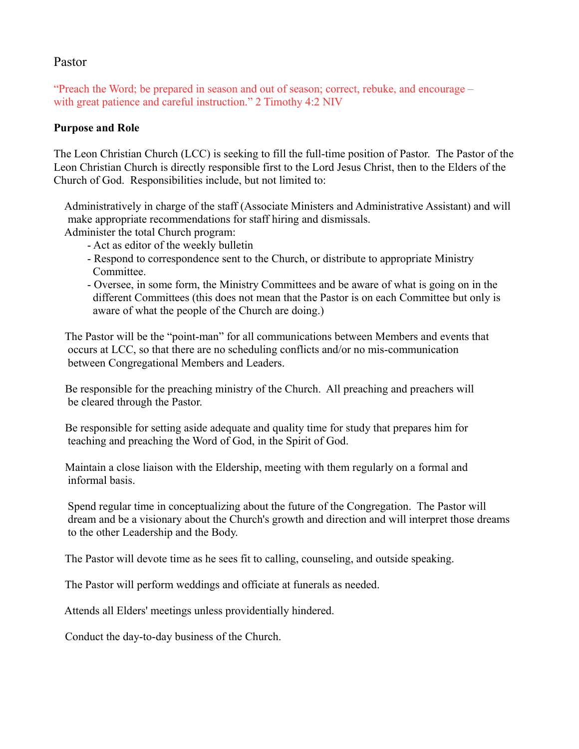## Pastor

"Preach the Word; be prepared in season and out of season; correct, rebuke, and encourage – with great patience and careful instruction." 2 Timothy 4:2 NIV

#### **Purpose and Role**

The Leon Christian Church (LCC) is seeking to fill the full-time position of Pastor. The Pastor of the Leon Christian Church is directly responsible first to the Lord Jesus Christ, then to the Elders of the Church of God. Responsibilities include, but not limited to:

 Administratively in charge of the staff (Associate Ministers and Administrative Assistant) and will make appropriate recommendations for staff hiring and dismissals.

Administer the total Church program:

- Act as editor of the weekly bulletin
- Respond to correspondence sent to the Church, or distribute to appropriate Ministry Committee.
- Oversee, in some form, the Ministry Committees and be aware of what is going on in the different Committees (this does not mean that the Pastor is on each Committee but only is aware of what the people of the Church are doing.)

 The Pastor will be the "point-man" for all communications between Members and events that occurs at LCC, so that there are no scheduling conflicts and/or no mis-communication between Congregational Members and Leaders.

 Be responsible for the preaching ministry of the Church. All preaching and preachers will be cleared through the Pastor.

 Be responsible for setting aside adequate and quality time for study that prepares him for teaching and preaching the Word of God, in the Spirit of God.

 Maintain a close liaison with the Eldership, meeting with them regularly on a formal and informal basis.

 Spend regular time in conceptualizing about the future of the Congregation. The Pastor will dream and be a visionary about the Church's growth and direction and will interpret those dreams to the other Leadership and the Body.

The Pastor will devote time as he sees fit to calling, counseling, and outside speaking.

The Pastor will perform weddings and officiate at funerals as needed.

Attends all Elders' meetings unless providentially hindered.

Conduct the day-to-day business of the Church.